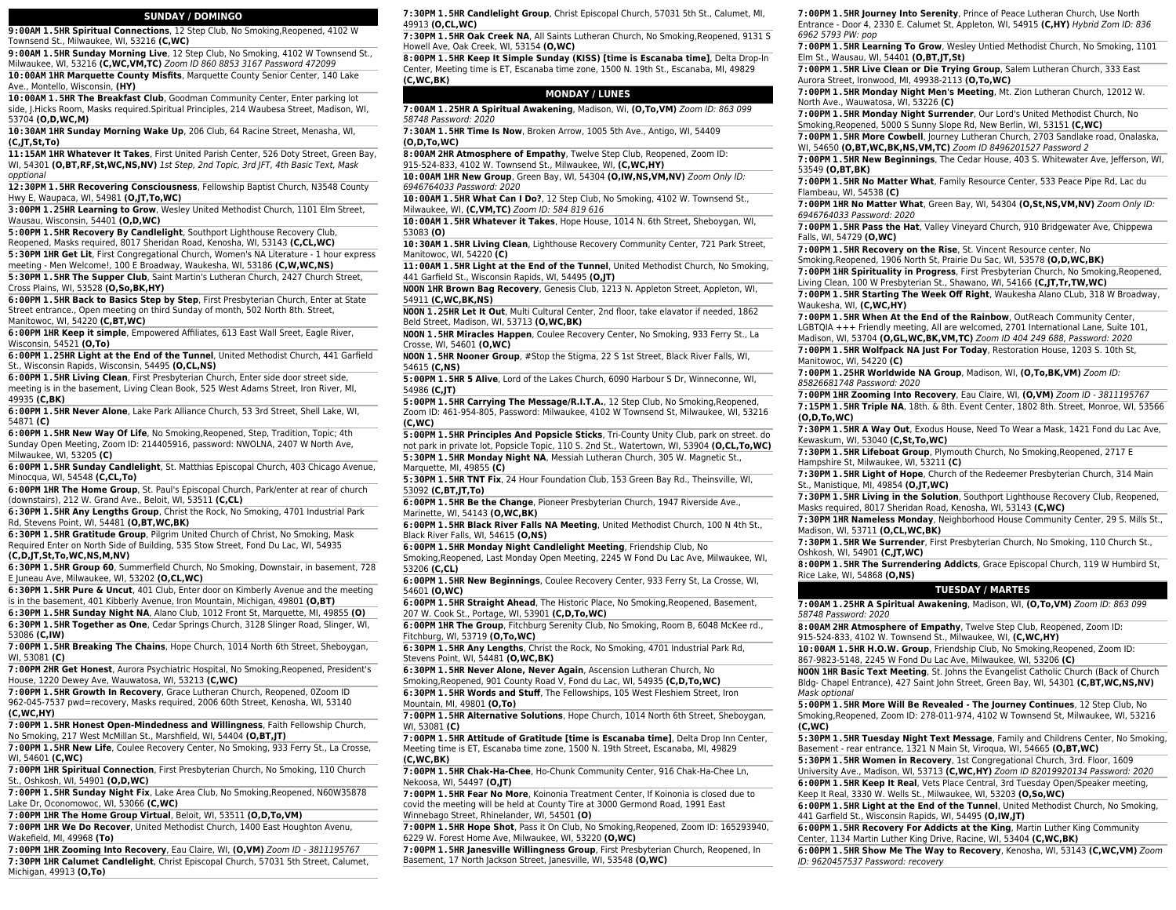### **SUNDAY / DOMINGO**

**9:00AM 1.5HR Spiritual Connections**, 12 Step Club, No Smoking,Reopened, 4102 W Townsend St., Milwaukee, WI, 53216 **(C,WC)**

**9:00AM 1.5HR Sunday Morning Live**, 12 Step Club, No Smoking, 4102 W Townsend St., Milwaukee, WI, 53216 **(C,WC,VM,TC)** Zoom ID 860 8853 3167 Password 472099 **10:00AM 1HR Marquette County Misfits**, Marquette County Senior Center, 140 Lake

Ave., Montello, Wisconsin, **(HY) 10:00AM 1.5HR The Breakfast Club**, Goodman Community Center, Enter parking lot side, J.Hicks Room, Masks required.Spiritual Principles, 214 Waubesa Street, Madison, WI,

53704 **(O,D,WC,M) 10:30AM 1HR Sunday Morning Wake Up**, 206 Club, 64 Racine Street, Menasha, WI, **(C,JT,St,To)**

**11:15AM 1HR Whatever It Takes**, First United Parish Center, 526 Doty Street, Green Bay, WI, 54301 **(O,BT,RF,St,WC,NS,NV)** 1st Step, 2nd Topic, 3rd JFT, 4th Basic Text, Mask opptional

**12:30PM 1.5HR Recovering Consciousness**, Fellowship Baptist Church, N3548 County Hwy E, Waupaca, WI, 54981 **(O,JT,To,WC)**

**3:00PM 1.25HR Learning to Grow**, Wesley United Methodist Church, 1101 Elm Street, Wausau, Wisconsin, 54401 **(O,D,WC)**

**5:00PM 1.5HR Recovery By Candlelight**, Southport Lighthouse Recovery Club, Reopened, Masks required, 8017 Sheridan Road, Kenosha, WI, 53143 **(C,CL,WC)**

**5:30PM 1HR Get Lit**, First Congregational Church, Women's NA Literature - 1 hour express meeting - Men Welcome!, 100 E Broadway, Waukesha, WI, 53186 **(C,W,WC,NS)**

**5:30PM 1.5HR The Supper Club**, Saint Martin's Lutheran Church, 2427 Church Street, Cross Plains, WI, 53528 **(O,So,BK,HY)**

**6:00PM 1.5HR Back to Basics Step by Step**, First Presbyterian Church, Enter at State Street entrance., Open meeting on third Sunday of month, 502 North 8th. Street, Manitowoc, WI, 54220 **(C,BT,WC)**

**6:00PM 1HR Keep it simple**, Empowered Affiliates, 613 East Wall Sreet, Eagle River, Wisconsin, 54521 **(O,To)**

**6:00PM 1.25HR Light at the End of the Tunnel**, United Methodist Church, 441 Garfield St., Wisconsin Rapids, Wisconsin, 54495 **(O,CL,NS)**

**6:00PM 1.5HR Living Clean**, First Presbyterian Church, Enter side door street side, meeting is in the basement, Living Clean Book, 525 West Adams Street, Iron River, MI, 49935 **(C,BK)**

**6:00PM 1.5HR Never Alone**, Lake Park Alliance Church, 53 3rd Street, Shell Lake, WI, 54871 **(C)**

**6:00PM 1.5HR New Way Of Life**, No Smoking,Reopened, Step, Tradition, Topic; 4th Sunday Open Meeting, Zoom ID: 214405916, password: NWOLNA, 2407 W North Ave, Milwaukee, WI, 53205 **(C)**

**6:00PM 1.5HR Sunday Candlelight**, St. Matthias Episcopal Church, 403 Chicago Avenue, Minocqua, WI, 54548 **(C,CL,To)**

**6:00PM 1HR The Home Group**, St. Paul's Episcopal Church, Park/enter at rear of church (downstairs), 212 W. Grand Ave., Beloit, WI, 53511 **(C,CL)**

**6:30PM 1.5HR Any Lengths Group**, Christ the Rock, No Smoking, 4701 Industrial Park Rd, Stevens Point, WI, 54481 **(O,BT,WC,BK)**

**6:30PM 1.5HR Gratitude Group**, Pilgrim United Church of Christ, No Smoking, Mask Required Enter on North Side of Building, 535 Stow Street, Fond Du Lac, WI, 54935

**(C,D,JT,St,To,WC,NS,M,NV)**

**6:30PM 1.5HR Group 60**, Summerfield Church, No Smoking, Downstair, in basement, 728 E Juneau Ave, Milwaukee, WI, 53202 **(O,CL,WC)**

**6:30PM 1.5HR Pure & Uncut**, 401 Club, Enter door on Kimberly Avenue and the meeting is in the basement, 401 Kibberly Avenue, Iron Mountain, Michigan, 49801 **(O,BT)**

**6:30PM 1.5HR Sunday Night NA**, Alano Club, 1012 Front St, Marquette, MI, 49855 **(O) 6:30PM 1.5HR Together as One**, Cedar Springs Church, 3128 Slinger Road, Slinger, WI, 53086 **(C,IW)**

**7:00PM 1.5HR Breaking The Chains**, Hope Church, 1014 North 6th Street, Sheboygan, WI, 53081 **(C)**

**7:00PM 2HR Get Honest**, Aurora Psychiatric Hospital, No Smoking,Reopened, President's House, 1220 Dewey Ave, Wauwatosa, WI, 53213 **(C,WC)**

**7:00PM 1.5HR Growth In Recovery**, Grace Lutheran Church, Reopened, 0Zoom ID 962-045-7537 pwd=recovery, Masks required, 2006 60th Street, Kenosha, WI, 53140 **(C,WC,HY)**

**7:00PM 1.5HR Honest Open-Mindedness and Willingness**, Faith Fellowship Church, No Smoking, 217 West McMillan St., Marshfield, WI, 54404 **(O,BT,JT)**

**7:00PM 1.5HR New Life**, Coulee Recovery Center, No Smoking, 933 Ferry St., La Crosse, WI, 54601 **(C,WC)**

**7:00PM 1HR Spiritual Connection**, First Presbyterian Church, No Smoking, 110 Church St., Oshkosh, WI, 54901 **(O,D,WC)**

**7:00PM 1.5HR Sunday Night Fix**, Lake Area Club, No Smoking,Reopened, N60W35878 Lake Dr, Oconomowoc, WI, 53066 **(C,WC)**

**7:00PM 1HR The Home Group Virtual**, Beloit, WI, 53511 **(O,D,To,VM)**

**7:00PM 1HR We Do Recover**, United Methodist Church, 1400 East Houghton Avenu, Wakefield, MI, 49968 **(To)**

**7:00PM 1HR Zooming Into Recovery**, Eau Claire, WI, **(O,VM)** Zoom ID - 3811195767 **7:30PM 1HR Calumet Candlelight**, Christ Episcopal Church, 57031 5th Street, Calumet, Michigan, 49913 **(O,To)**

**7:30PM 1.5HR Candlelight Group**, Christ Episcopal Church, 57031 5th St., Calumet, MI, 49913 **(O,CL,WC)**

**7:30PM 1.5HR Oak Creek NA**, All Saints Lutheran Church, No Smoking,Reopened, 9131 S Howell Ave, Oak Creek, WI, 53154 **(O,WC)**

**8:00PM 1.5HR Keep It Simple Sunday (KISS) [time is Escanaba time]**, Delta Drop-In Center, Meeting time is ET, Escanaba time zone, 1500 N. 19th St., Escanaba, MI, 49829 **(C,WC,BK)**

### **MONDAY / LUNES**

**7:00AM 1.25HR A Spiritual Awakening**, Madison, Wi, **(O,To,VM)** Zoom ID: 863 099 58748 Password: 2020

**7:30AM 1.5HR Time Is Now**, Broken Arrow, 1005 5th Ave., Antigo, WI, 54409 **(O,D,To,WC)**

**8:00AM 2HR Atmosphere of Empathy**, Twelve Step Club, Reopened, Zoom ID: 915-524-833, 4102 W. Townsend St., Milwaukee, WI, **(C,WC,HY)**

**10:00AM 1HR New Group**, Green Bay, WI, 54304 **(O,IW,NS,VM,NV)** Zoom Only ID: 6946764033 Password: 2020

**10:00AM 1.5HR What Can I Do?**, 12 Step Club, No Smoking, 4102 W. Townsend St., Milwaukee, WI, **(C,VM,TC)** Zoom ID: 584 819 616

**10:00AM 1.5HR Whatever it Takes**, Hope House, 1014 N. 6th Street, Sheboygan, WI, 53083 **(O)**

**10:30AM 1.5HR Living Clean**, Lighthouse Recovery Community Center, 721 Park Street, Manitowoc, WI, 54220 **(C)**

**11:00AM 1.5HR Light at the End of the Tunnel**, United Methodist Church, No Smoking, 441 Garfield St., Wisconsin Rapids, WI, 54495 **(O,JT)**

**NOON 1HR Brown Bag Recovery**, Genesis Club, 1213 N. Appleton Street, Appleton, WI, 54911 **(C,WC,BK,NS)**

**NOON 1.25HR Let It Out**, Multi Cultural Center, 2nd floor, take elavator if needed, 1862 Beld Street, Madison, WI, 53713 **(O,WC,BK)**

**NOON 1.5HR Miracles Happen**, Coulee Recovery Center, No Smoking, 933 Ferry St., La Crosse, WI, 54601 **(O,WC)**

**NOON 1.5HR Nooner Group**, #Stop the Stigma, 22 S 1st Street, Black River Falls, WI, 54615 **(C,NS)**

**5:00PM 1.5HR 5 Alive**, Lord of the Lakes Church, 6090 Harbour S Dr, Winneconne, WI, 54986 **(C,JT)**

**5:00PM 1.5HR Carrying The Message/R.I.T.A.**, 12 Step Club, No Smoking,Reopened, Zoom ID: 461-954-805, Password: Milwaukee, 4102 W Townsend St, Milwaukee, WI, 53216 **(C,WC)**

**5:00PM 1.5HR Principles And Popsicle Sticks**, Tri-County Unity Club, park on street. do not park in private lot, Popsicle Topic, 110 S. 2nd St., Watertown, WI, 53904 **(O,CL,To,WC) 5:30PM 1.5HR Monday Night NA**, Messiah Lutheran Church, 305 W. Magnetic St., Marquette, MI, 49855 **(C)**

**5:30PM 1.5HR TNT Fix**, 24 Hour Foundation Club, 153 Green Bay Rd., Theinsville, WI, 53092 **(C,BT,JT,To)**

**6:00PM 1.5HR Be the Change**, Pioneer Presbyterian Church, 1947 Riverside Ave., Marinette, WI, 54143 **(O,WC,BK)**

**6:00PM 1.5HR Black River Falls NA Meeting**, United Methodist Church, 100 N 4th St., Black River Falls, WI, 54615 **(O,NS)**

**6:00PM 1.5HR Monday Night Candlelight Meeting**, Friendship Club, No Smoking,Reopened, Last Monday Open Meeting, 2245 W Fond Du Lac Ave, Milwaukee, WI,

53206 **(C,CL)**

**6:00PM 1.5HR New Beginnings**, Coulee Recovery Center, 933 Ferry St, La Crosse, WI, 54601 **(O,WC)**

**6:00PM 1.5HR Straight Ahead**, The Historic Place, No Smoking,Reopened, Basement, 207 W. Cook St., Portage, WI, 53901 **(C,D,To,WC)**

**6:00PM 1HR The Group**, Fitchburg Serenity Club, No Smoking, Room B, 6048 McKee rd., Fitchburg, WI, 53719 **(O,To,WC)**

**6:30PM 1.5HR Any Lengths**, Christ the Rock, No Smoking, 4701 Industrial Park Rd, Stevens Point, WI, 54481 **(O,WC,BK)**

**6:30PM 1.5HR Never Alone, Never Again**, Ascension Lutheran Church, No Smoking,Reopened, 901 County Road V, Fond du Lac, WI, 54935 **(C,D,To,WC) 6:30PM 1.5HR Words and Stuff**, The Fellowships, 105 West Fleshiem Street, Iron

Mountain, MI, 49801 **(O,To)**

**7:00PM 1.5HR Alternative Solutions**, Hope Church, 1014 North 6th Street, Sheboygan, WI, 53081 **(C)**

**7:00PM 1.5HR Attitude of Gratitude [time is Escanaba time]**, Delta Drop Inn Center, Meeting time is ET, Escanaba time zone, 1500 N. 19th Street, Escanaba, MI, 49829 **(C,WC,BK)**

**7:00PM 1.5HR Chak-Ha-Chee**, Ho-Chunk Community Center, 916 Chak-Ha-Chee Ln, Nekoosa, WI, 54497 **(O,JT)**

**7:00PM 1.5HR Fear No More**, Koinonia Treatment Center, If Koinonia is closed due to covid the meeting will be held at County Tire at 3000 Germond Road, 1991 East Winnebago Street, Rhinelander, WI, 54501 **(O)**

**7:00PM 1.5HR Hope Shot**, Pass it On Club, No Smoking,Reopened, Zoom ID: 165293940, 6229 W. Forest Home Ave, Milwaukee, WI, 53220 **(O,WC)**

**7:00PM 1.5HR Janesville Willingness Group**, First Presbyterian Church, Reopened, In Basement, 17 North Jackson Street, Janesville, WI, 53548 **(O,WC)**

**7:00PM 1.5HR Journey Into Serenity**, Prince of Peace Lutheran Church, Use North Entrance - Door 4, 2330 E. Calumet St, Appleton, WI, 54915 **(C,HY)** Hybrid Zom ID: 836 6962 5793 PW: pop

**7:00PM 1.5HR Learning To Grow**, Wesley Untied Methodist Church, No Smoking, 1101 Elm St., Wausau, WI, 54401 **(O,BT,JT,St)**

**7:00PM 1.5HR Live Clean or Die Trying Group**, Salem Lutheran Church, 333 East Aurora Street, Ironwood, MI, 49938-2113 **(O,To,WC)**

**7:00PM 1.5HR Monday Night Men's Meeting**, Mt. Zion Lutheran Church, 12012 W. North Ave., Wauwatosa, WI, 53226 **(C)**

**7:00PM 1.5HR Monday Night Surrender**, Our Lord's United Methodist Church, No Smoking,Reopened, 5000 S Sunny Slope Rd, New Berlin, WI, 53151 **(C,WC)**

**7:00PM 1.5HR More Cowbell**, Journey Lutheran Church, 2703 Sandlake road, Onalaska, WI, 54650 **(O,BT,WC,BK,NS,VM,TC)** Zoom ID 8496201527 Password 2

**7:00PM 1.5HR New Beginnings**, The Cedar House, 403 S. Whitewater Ave, Jefferson, WI, 53549 **(O,BT,BK)**

**7:00PM 1.5HR No Matter What**, Family Resource Center, 533 Peace Pipe Rd, Lac du Flambeau, WI, 54538 **(C)**

**7:00PM 1HR No Matter What**, Green Bay, WI, 54304 **(O,St,NS,VM,NV)** Zoom Only ID: 6946764033 Password: 2020

**7:00PM 1.5HR Pass the Hat**, Valley Vineyard Church, 910 Bridgewater Ave, Chippewa Falls, WI, 54729 **(O,WC)**

**7:00PM 1.5HR Recovery on the Rise**, St. Vincent Resource center, No Smoking,Reopened, 1906 North St, Prairie Du Sac, WI, 53578 **(O,D,WC,BK)**

**7:00PM 1HR Spirituality in Progress**, First Presbyterian Church, No Smoking,Reopened, Living Clean, 100 W Presbyterian St., Shawano, WI, 54166 **(C,JT,Tr,TW,WC) 7:00PM 1.5HR Starting The Week Off Right**, Waukesha Alano CLub, 318 W Broadway,

Waukesha, WI, **(C,WC,HY)**

**7:00PM 1.5HR When At the End of the Rainbow**, OutReach Community Center, LGBTQIA +++ Friendly meeting, All are welcomed, 2701 International Lane, Suite 101,

Madison, WI, 53704 **(O,GL,WC,BK,VM,TC)** Zoom ID 404 249 688, Password: 2020 **7:00PM 1.5HR Wolfpack NA Just For Today**, Restoration House, 1203 S. 10th St, Manitowoc, WI, 54220 **(C)**

**7:00PM 1.25HR Worldwide NA Group**, Madison, WI, **(O,To,BK,VM)** Zoom ID: 85826681748 Password: 2020

**7:00PM 1HR Zooming Into Recovery**, Eau Claire, WI, **(O,VM)** Zoom ID - 3811195767 **7:15PM 1.5HR Triple NA**, 18th. & 8th. Event Center, 1802 8th. Street, Monroe, WI, 53566 **(O,D,To,WC)**

**7:30PM 1.5HR A Way Out**, Exodus House, Need To Wear a Mask, 1421 Fond du Lac Ave, Kewaskum, WI, 53040 **(C,St,To,WC)**

**7:30PM 1.5HR Lifeboat Group**, Plymouth Church, No Smoking,Reopened, 2717 E Hampshire St, Milwaukee, WI, 53211 **(C)**

**7:30PM 1.5HR Light of Hope**, Church of the Redeemer Presbyterian Church, 314 Main St., Manistique, MI, 49854 **(O,JT,WC)**

**7:30PM 1.5HR Living in the Solution**, Southport Lighthouse Recovery Club, Reopened, Masks required, 8017 Sheridan Road, Kenosha, WI, 53143 **(C,WC)**

**7:30PM 1HR Nameless Monday**, Neighborhood House Community Center, 29 S. Mills St., Madison, WI, 53711 **(O,CL,WC,BK)**

**7:30PM 1.5HR We Surrender**, First Presbyterian Church, No Smoking, 110 Church St., Oshkosh, WI, 54901 **(C,JT,WC)**

**8:00PM 1.5HR The Surrendering Addicts**, Grace Episcopal Church, 119 W Humbird St, Rice Lake, WI, 54868 **(O,NS)**

### **TUESDAY / MARTES**

**7:00AM 1.25HR A Spiritual Awakening**, Madison, WI, **(O,To,VM)** Zoom ID: 863 099 58748 Password: 2020

**8:00AM 2HR Atmosphere of Empathy**, Twelve Step Club, Reopened, Zoom ID: 915-524-833, 4102 W. Townsend St., Milwaukee, WI, **(C,WC,HY)**

**10:00AM 1.5HR H.O.W. Group**, Friendship Club, No Smoking,Reopened, Zoom ID: 867-9823-5148, 2245 W Fond Du Lac Ave, Milwaukee, WI, 53206 **(C)**

**NOON 1HR Basic Text Meeting**, St. Johns the Evangelist Catholic Church (Back of Church Bldg- Chapel Entrance), 427 Saint John Street, Green Bay, WI, 54301 **(C,BT,WC,NS,NV)** Mask optional **5:00PM 1.5HR More Will Be Revealed - The Journey Continues**, 12 Step Club, No

Smoking,Reopened, Zoom ID: 278-011-974, 4102 W Townsend St, Milwaukee, WI, 53216

**5:30PM 1.5HR Tuesday Night Text Message**, Family and Childrens Center, No Smoking,

**6:00PM 1.5HR Light at the End of the Tunnel**, United Methodist Church, No Smoking,

**6:00PM 1.5HR Show Me The Way to Recovery**, Kenosha, WI, 53143 **(C,WC,VM)** Zoom

**6:00PM 1.5HR Recovery For Addicts at the King**, Martin Luther King Community

Basement - rear entrance, 1321 N Main St, Viroqua, WI, 54665 **(O,BT,WC) 5:30PM 1.5HR Women in Recovery**, 1st Congregational Church, 3rd. Floor, 1609 University Ave., Madison, WI, 53713 **(C,WC,HY)** Zoom ID 82019920134 Password: 2020 **6:00PM 1.5HR Keep It Real**, Vets Place Central, 3rd Tuesday Open/Speaker meeting,

Keep It Real, 3330 W. Wells St., Milwaukee, WI, 53203 **(O,So,WC)**

Center, 1134 Martin Luther King Drive, Racine, WI, 53404 **(C,WC,BK)**

441 Garfield St., Wisconsin Rapids, WI, 54495 **(O,IW,JT)**

ID: 9620457537 Password: recovery

**(C,WC)**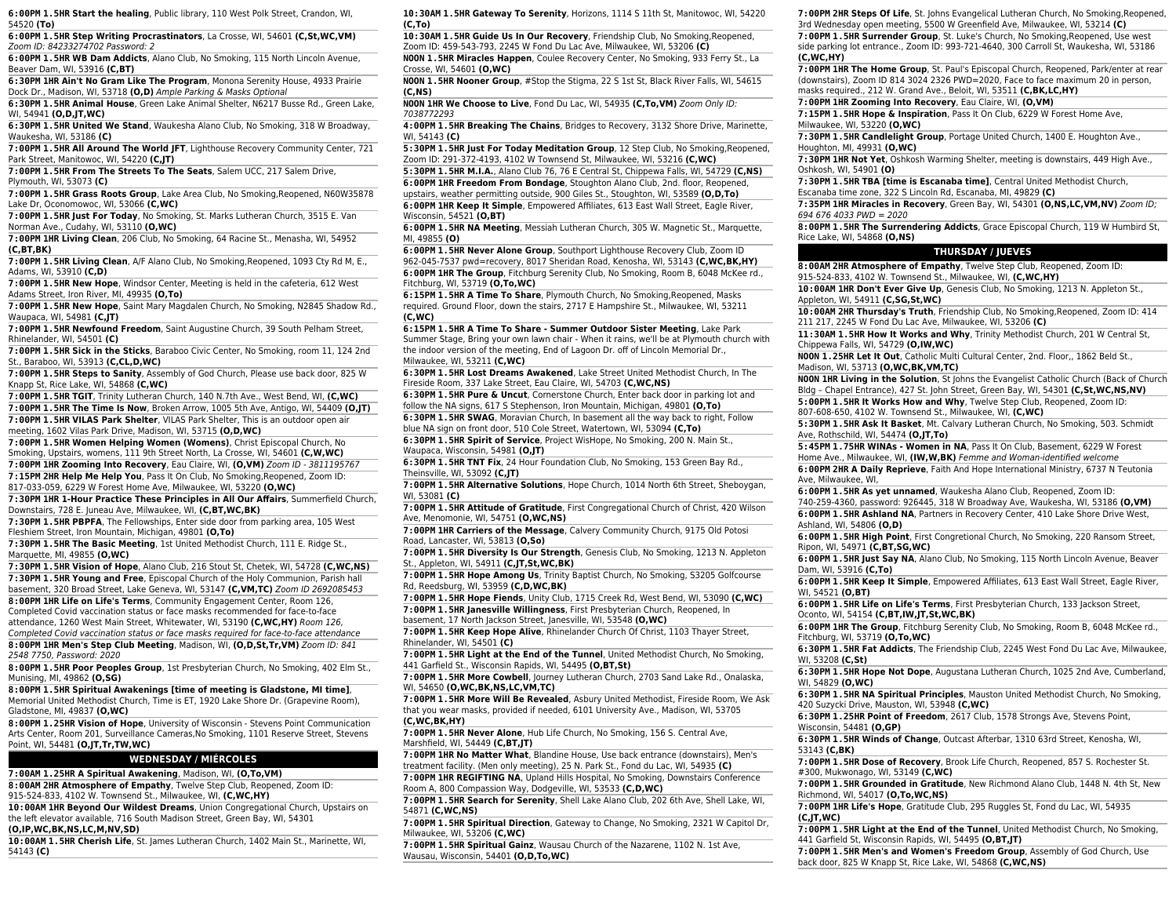**6:00PM 1.5HR Start the healing**, Public library, 110 West Polk Street, Crandon, WI, 54520 **(To)**

**6:00PM 1.5HR Step Writing Procrastinators**, La Crosse, WI, 54601 **(C,St,WC,VM)** Zoom ID: 84233274702 Password: 2

**6:00PM 1.5HR WB Dam Addicts**, Alano Club, No Smoking, 115 North Lincoln Avenue, Beaver Dam, WI, 53916 **(C,BT)**

**6:30PM 1HR Ain't No Gram Like The Program**, Monona Serenity House, 4933 Prairie Dock Dr., Madison, WI, 53718 **(O,D)** Ample Parking & Masks Optional

**6:30PM 1.5HR Animal House**, Green Lake Animal Shelter, N6217 Busse Rd., Green Lake, WI, 54941 **(O,D,JT,WC)**

**6:30PM 1.5HR United We Stand**, Waukesha Alano Club, No Smoking, 318 W Broadway, Waukesha, WI, 53186 **(C)**

**7:00PM 1.5HR All Around The World JFT**, Lighthouse Recovery Community Center, 721 Park Street, Manitowoc, WI, 54220 **(C,JT)**

**7:00PM 1.5HR From The Streets To The Seats**, Salem UCC, 217 Salem Drive, Plymouth, WI, 53073 **(C)**

**7:00PM 1.5HR Grass Roots Group**, Lake Area Club, No Smoking,Reopened, N60W35878 Lake Dr, Oconomowoc, WI, 53066 **(C,WC)**

**7:00PM 1.5HR Just For Today**, No Smoking, St. Marks Lutheran Church, 3515 E. Van Norman Ave., Cudahy, WI, 53110 **(O,WC)**

**7:00PM 1HR Living Clean**, 206 Club, No Smoking, 64 Racine St., Menasha, WI, 54952 **(C,BT,BK)**

**7:00PM 1.5HR Living Clean**, A/F Alano Club, No Smoking,Reopened, 1093 Cty Rd M, E., Adams, WI, 53910 **(C,D)**

**7:00PM 1.5HR New Hope**, Windsor Center, Meeting is held in the cafeteria, 612 West Adams Street, Iron River, MI, 49935 **(O,To)**

**7:00PM 1.5HR New Hope**, Saint Mary Magdalen Church, No Smoking, N2845 Shadow Rd., Waupaca, WI, 54981 **(C,JT)**

**7:00PM 1.5HR Newfound Freedom**, Saint Augustine Church, 39 South Pelham Street, Rhinelander, WI, 54501 **(C)**

**7:00PM 1.5HR Sick in the Sticks**, Baraboo Civic Center, No Smoking, room 11, 124 2nd St., Baraboo, WI, 53913 **(C,CL,D,WC)**

**7:00PM 1.5HR Steps to Sanity**, Assembly of God Church, Please use back door, 825 W Knapp St, Rice Lake, WI, 54868 **(C,WC)**

**7:00PM 1.5HR TGIT**, Trinity Lutheran Church, 140 N.7th Ave., West Bend, WI, **(C,WC) 7:00PM 1.5HR The Time Is Now**, Broken Arrow, 1005 5th Ave, Antigo, WI, 54409 **(O,JT) 7:00PM 1.5HR VILAS Park Shelter**, VILAS Park Shelter, This is an outdoor open air

meeting, 1602 Vilas Park Drive, Madison, WI, 53715 **(O,D,WC)**

**7:00PM 1.5HR Women Helping Women (Womens)**, Christ Episcopal Church, No Smoking, Upstairs, womens, 111 9th Street North, La Crosse, WI, 54601 **(C,W,WC) 7:00PM 1HR Zooming Into Recovery**, Eau Claire, WI, **(O,VM)** Zoom ID - 3811195767

**7:15PM 2HR Help Me Help You**, Pass It On Club, No Smoking,Reopened, Zoom ID: 817-033-059, 6229 W Forest Home Ave, Milwaukee, WI, 53220 **(O,WC)**

**7:30PM 1HR 1-Hour Practice These Principles in All Our Affairs**, Summerfield Church, Downstairs, 728 E. Juneau Ave, Milwaukee, WI, **(C,BT,WC,BK)**

**7:30PM 1.5HR PBPFA**, The Fellowships, Enter side door from parking area, 105 West Fleshiem Street, Iron Mountain, Michigan, 49801 **(O,To)**

**7:30PM 1.5HR The Basic Meeting**, 1st United Methodist Church, 111 E. Ridge St., Marquette, MI, 49855 **(O,WC)**

**7:30PM 1.5HR Vision of Hope**, Alano Club, 216 Stout St, Chetek, WI, 54728 **(C,WC,NS) 7:30PM 1.5HR Young and Free**, Episcopal Church of the Holy Communion, Parish hall basement, 320 Broad Street, Lake Geneva, WI, 53147 **(C,VM,TC)** Zoom ID 2692085453 **8:00PM 1HR Life on Life's Terms**, Community Engagement Center, Room 126, Completed Covid vaccination status or face masks recommended for face-to-face attendance, 1260 West Main Street, Whitewater, WI, 53190 **(C,WC,HY)** Room 126, Completed Covid vaccination status or face masks required for face-to-face attendance **8:00PM 1HR Men's Step Club Meeting**, Madison, WI, **(O,D,St,Tr,VM)** Zoom ID: 841 2548 7750, Password: 2020

**8:00PM 1.5HR Poor Peoples Group**, 1st Presbyterian Church, No Smoking, 402 Elm St., Munising, MI, 49862 **(O,SG)**

**8:00PM 1.5HR Spiritual Awakenings [time of meeting is Gladstone, MI time]**, Memorial United Methodist Church, Time is ET, 1920 Lake Shore Dr. (Grapevine Room), Gladstone, MI, 49837 **(O,WC)**

**8:00PM 1.25HR Vision of Hope**, University of Wisconsin - Stevens Point Communication Arts Center, Room 201, Surveillance Cameras,No Smoking, 1101 Reserve Street, Stevens Point, WI, 54481 **(O,JT,Tr,TW,WC)**

### **WEDNESDAY / MIÉRCOLES**

**7:00AM 1.25HR A Spiritual Awakening**, Madison, WI, **(O,To,VM) 8:00AM 2HR Atmosphere of Empathy**, Twelve Step Club, Reopened, Zoom ID: 915-524-833, 4102 W. Townsend St., Milwaukee, WI, **(C,WC,HY)**

**10:00AM 1HR Beyond Our Wildest Dreams**, Union Congregational Church, Upstairs on the left elevator available, 716 South Madison Street, Green Bay, WI, 54301 **(O,IP,WC,BK,NS,LC,M,NV,SD)**

**10:00AM 1.5HR Cherish Life**, St. James Lutheran Church, 1402 Main St., Marinette, WI, 54143 **(C)**

**10:30AM 1.5HR Gateway To Serenity**, Horizons, 1114 S 11th St, Manitowoc, WI, 54220 **(C,To)**

**10:30AM 1.5HR Guide Us In Our Recovery**, Friendship Club, No Smoking,Reopened, Zoom ID: 459-543-793, 2245 W Fond Du Lac Ave, Milwaukee, WI, 53206 **(C)**

**NOON 1.5HR Miracles Happen**, Coulee Recovery Center, No Smoking, 933 Ferry St., La Crosse, WI, 54601 **(O,WC)**

**NOON 1.5HR Nooner Group**, #Stop the Stigma, 22 S 1st St, Black River Falls, WI, 54615 **(C,NS)**

**NOON 1HR We Choose to Live**, Fond Du Lac, WI, 54935 **(C,To,VM)** Zoom Only ID: 7038772293

**4:00PM 1.5HR Breaking The Chains**, Bridges to Recovery, 3132 Shore Drive, Marinette, WI, 54143 **(C)**

**5:30PM 1.5HR Just For Today Meditation Group**, 12 Step Club, No Smoking,Reopened, Zoom ID: 291-372-4193, 4102 W Townsend St, Milwaukee, WI, 53216 **(C,WC)**

**5:30PM 1.5HR M.I.A.**, Alano Club 76, 76 E Central St, Chippewa Falls, WI, 54729 **(C,NS) 6:00PM 1HR Freedom From Bondage**, Stoughton Alano Club, 2nd. floor, Reopened, upstairs, weather permitting outside, 900 Giles St., Stoughton, WI, 53589 **(O,D,To) 6:00PM 1HR Keep It Simple**, Empowered Affiliates, 613 East Wall Street, Eagle River,

Wisconsin, 54521 **(O,BT) 6:00PM 1.5HR NA Meeting**, Messiah Lutheran Church, 305 W. Magnetic St., Marquette, MI, 49855 **(O)**

**6:00PM 1.5HR Never Alone Group**, Southport Lighthouse Recovery Club, Zoom ID 962-045-7537 pwd=recovery, 8017 Sheridan Road, Kenosha, WI, 53143 **(C,WC,BK,HY) 6:00PM 1HR The Group**, Fitchburg Serenity Club, No Smoking, Room B, 6048 McKee rd.,

Fitchburg, WI, 53719 **(O,To,WC) 6:15PM 1.5HR A Time To Share**, Plymouth Church, No Smoking,Reopened, Masks

required. Ground Floor, down the stairs, 2717 E Hampshire St., Milwaukee, WI, 53211 **(C,WC)**

**6:15PM 1.5HR A Time To Share - Summer Outdoor Sister Meeting**, Lake Park Summer Stage, Bring your own lawn chair - When it rains, we'll be at Plymouth church with the indoor version of the meeting, End of Lagoon Dr. off of Lincoln Memorial Dr., Milwaukee, WI, 53211 **(C,WC)**

**6:30PM 1.5HR Lost Dreams Awakened**, Lake Street United Methodist Church, In The Fireside Room, 337 Lake Street, Eau Claire, WI, 54703 **(C,WC,NS)**

**6:30PM 1.5HR Pure & Uncut**, Cornerstone Church, Enter back door in parking lot and follow the NA signs, 617 S Stephenson, Iron Mountain, Michigan, 49801 **(O,To) 6:30PM 1.5HR SWAG**, Moravian Church, In basement all the way back to right, Follow

blue NA sign on front door, 510 Cole Street, Watertown, WI, 53094 **(C,To) 6:30PM 1.5HR Spirit of Service**, Project WisHope, No Smoking, 200 N. Main St.,

Waupaca, Wisconsin, 54981 **(O,JT)**

**6:30PM 1.5HR TNT Fix**, 24 Hour Foundation Club, No Smoking, 153 Green Bay Rd., Theinsville, WI, 53092 **(C,JT)**

**7:00PM 1.5HR Alternative Solutions**, Hope Church, 1014 North 6th Street, Sheboygan, WI, 53081 **(C)**

**7:00PM 1.5HR Attitude of Gratitude**, First Congregational Church of Christ, 420 Wilson Ave, Menomonie, WI, 54751 **(O,WC,NS)**

**7:00PM 1HR Carriers of the Message**, Calvery Community Church, 9175 Old Potosi Road, Lancaster, WI, 53813 **(O,So)**

**7:00PM 1.5HR Diversity Is Our Strength**, Genesis Club, No Smoking, 1213 N. Appleton St., Appleton, WI, 54911 **(C,JT,St,WC,BK)**

**7:00PM 1.5HR Hope Among Us**, Trinity Baptist Church, No Smoking, S3205 Golfcourse Rd, Reedsburg, WI, 53959 **(C,D,WC,BK)**

**7:00PM 1.5HR Hope Fiends**, Unity Club, 1715 Creek Rd, West Bend, WI, 53090 **(C,WC) 7:00PM 1.5HR Janesville Willingness**, First Presbyterian Church, Reopened, In

basement, 17 North Jackson Street, Janesville, WI, 53548 **(O,WC)**

**7:00PM 1.5HR Keep Hope Alive**, Rhinelander Church Of Christ, 1103 Thayer Street, Rhinelander, WI, 54501 **(C)**

**7:00PM 1.5HR Light at the End of the Tunnel**, United Methodist Church, No Smoking, 441 Garfield St., Wisconsin Rapids, WI, 54495 **(O,BT,St)**

**7:00PM 1.5HR More Cowbell**, Journey Lutheran Church, 2703 Sand Lake Rd., Onalaska, WI, 54650 **(O,WC,BK,NS,LC,VM,TC)**

**7:00PM 1.5HR More Will Be Revealed**, Asbury United Methodist, Fireside Room, We Ask that you wear masks, provided if needed, 6101 University Ave., Madison, WI, 53705 **(C,WC,BK,HY)**

**7:00PM 1.5HR Never Alone**, Hub Life Church, No Smoking, 156 S. Central Ave, Marshfield, WI, 54449 **(C,BT,JT)**

**7:00PM 1HR No Matter What**, Blandine House, Use back entrance (downstairs), Men's treatment facility. (Men only meeting), 25 N. Park St., Fond du Lac, WI, 54935 **(C)**

**7:00PM 1HR REGIFTING NA**, Upland Hills Hospital, No Smoking, Downstairs Conference Room A, 800 Compassion Way, Dodgeville, WI, 53533 **(C,D,WC)**

**7:00PM 1.5HR Search for Serenity**, Shell Lake Alano Club, 202 6th Ave, Shell Lake, WI, 54871 **(C,WC,NS)**

**7:00PM 1.5HR Spiritual Direction**, Gateway to Change, No Smoking, 2321 W Capitol Dr, Milwaukee, WI, 53206 **(C,WC)**

**7:00PM 1.5HR Spiritual Gainz**, Wausau Church of the Nazarene, 1102 N. 1st Ave, Wausau, Wisconsin, 54401 **(O,D,To,WC)**

**7:00PM 2HR Steps Of Life**, St. Johns Evangelical Lutheran Church, No Smoking,Reopened, 3rd Wednesday open meeting, 5500 W Greenfield Ave, Milwaukee, WI, 53214 **(C) 7:00PM 1.5HR Surrender Group**, St. Luke's Church, No Smoking,Reopened, Use west

side parking lot entrance., Zoom ID: 993-721-4640, 300 Carroll St, Waukesha, WI, 53186 **(C,WC,HY)**

**7:00PM 1HR The Home Group**, St. Paul's Episcopal Church, Reopened, Park/enter at rear (downstairs), Zoom ID 814 3024 2326 PWD=2020, Face to face maximum 20 in person, masks required., 212 W. Grand Ave., Beloit, WI, 53511 **(C,BK,LC,HY)**

**7:00PM 1HR Zooming Into Recovery**, Eau Claire, WI, **(O,VM)**

**7:15PM 1.5HR Hope & Inspiration**, Pass It On Club, 6229 W Forest Home Ave, Milwaukee, WI, 53220 **(O,WC)**

**7:30PM 1.5HR Candlelight Group**, Portage United Church, 1400 E. Houghton Ave., Houghton, MI, 49931 **(O,WC)**

**7:30PM 1HR Not Yet**, Oshkosh Warming Shelter, meeting is downstairs, 449 High Ave., Oshkosh, WI, 54901 **(O)**

**7:30PM 1.5HR TBA [time is Escanaba time]**, Central United Methodist Church, Escanaba time zone, 322 S Lincoln Rd, Escanaba, MI, 49829 **(C)**

**7:35PM 1HR Miracles in Recovery**, Green Bay, WI, 54301 **(O,NS,LC,VM,NV)** Zoom ID; 694 676 4033 PWD = 2020

**8:00PM 1.5HR The Surrendering Addicts**, Grace Episcopal Church, 119 W Humbird St, Rice Lake, WI, 54868 **(O,NS)**

### **THURSDAY / JUEVES**

**8:00AM 2HR Atmosphere of Empathy**, Twelve Step Club, Reopened, Zoom ID: 915-524-833, 4102 W. Townsend St., Milwaukee, WI, **(C,WC,HY)**

**10:00AM 1HR Don't Ever Give Up**, Genesis Club, No Smoking, 1213 N. Appleton St., Appleton, WI, 54911 **(C,SG,St,WC)**

**10:00AM 2HR Thursday's Truth**, Friendship Club, No Smoking,Reopened, Zoom ID: 414 211 217, 2245 W Fond Du Lac Ave, Milwaukee, WI, 53206 **(C)**

**11:30AM 1.5HR How It Works and Why**, Trinity Methodist Church, 201 W Central St,

Chippewa Falls, WI, 54729 **(O,IW,WC)**

**NOON 1.25HR Let It Out**, Catholic Multi Cultural Center, 2nd. Floor,, 1862 Beld St., Madison, WI, 53713 **(O,WC,BK,VM,TC)**

**NOON 1HR Living in the Solution**, St Johns the Evangelist Catholic Church (Back of Church Bldg – Chapel Entrance), 427 St. John Street, Green Bay, WI, 54301 **(C,St,WC,NS,NV) 5:00PM 1.5HR It Works How and Why**, Twelve Step Club, Reopened, Zoom ID: 807-608-650, 4102 W. Townsend St., Milwaukee, WI, **(C,WC)**

**5:30PM 1.5HR Ask It Basket**, Mt. Calvary Lutheran Church, No Smoking, 503. Schmidt Ave, Rothschild, WI, 54474 **(O,JT,To)**

**5:45PM 1.75HR WINAs - Women in NA**, Pass It On Club, Basement, 6229 W Forest Home Ave., Milwaukee, WI, **(IW,W,BK)** Femme and Woman-identified welcome

**6:00PM 2HR A Daily Reprieve**, Faith And Hope International Ministry, 6737 N Teutonia Ave, Milwaukee, WI,

**6:00PM 1.5HR As yet unnamed**, Waukesha Alano Club, Reopened, Zoom ID: 740-259-4360, password: 926445, 318 W Broadway Ave, Waukesha, WI, 53186 **(O,VM) 6:00PM 1.5HR Ashland NA**, Partners in Recovery Center, 410 Lake Shore Drive West,

Ashland, WI, 54806 **(O,D) 6:00PM 1.5HR High Point**, First Congretional Church, No Smoking, 220 Ransom Street,

Ripon, WI, 54971 **(C,BT,SG,WC) 6:00PM 1.5HR Just Say NA**, Alano Club, No Smoking, 115 North Lincoln Avenue, Beaver

Dam, WI, 53916 **(C,To) 6:00PM 1.5HR Keep It Simple**, Empowered Affiliates, 613 East Wall Street, Eagle River,

WI, 54521 **(O,BT) 6:00PM 1.5HR Life on Life's Terms**, First Presbyterian Church, 133 Jackson Street, Oconto, WI, 54154 **(C,BT,IW,JT,St,WC,BK)**

**6:00PM 1HR The Group**, Fitchburg Serenity Club, No Smoking, Room B, 6048 McKee rd.,

Fitchburg, WI, 53719 **(O,To,WC)**

**6:30PM 1.5HR Fat Addicts**, The Friendship Club, 2245 West Fond Du Lac Ave, Milwaukee, WI, 53208 **(C,St)**

**6:30PM 1.5HR Hope Not Dope**, Augustana Lutheran Church, 1025 2nd Ave, Cumberland, WI, 54829 **(O,WC)**

**6:30PM 1.5HR NA Spiritual Principles**, Mauston United Methodist Church, No Smoking, 420 Suzycki Drive, Mauston, WI, 53948 **(C,WC)**

**6:30PM 1.25HR Point of Freedom**, 2617 Club, 1578 Strongs Ave, Stevens Point, Wisconsin, 54481 **(O,GP)**

**7:00PM 1.5HR Dose of Recovery**, Brook Life Church, Reopened, 857 S. Rochester St.

**7:00PM 1HR Life's Hope**, Gratitude Club, 295 Ruggles St, Fond du Lac, WI, 54935

**7:00PM 1.5HR Grounded in Gratitude**, New Richmond Alano Club, 1448 N. 4th St, New

**7:00PM 1.5HR Light at the End of the Tunnel**, United Methodist Church, No Smoking,

**7:00PM 1.5HR Men's and Women's Freedom Group**, Assembly of God Church, Use

**6:30PM 1.5HR Winds of Change**, Outcast Afterbar, 1310 63rd Street, Kenosha, WI,

#300, Mukwonago, WI, 53149 **(C,WC)**

Richmond, WI, 54017 **(O,To,WC,NS)**

441 Garfield St, Wisconsin Rapids, WI, 54495 **(O,BT,JT)**

back door, 825 W Knapp St, Rice Lake, WI, 54868 **(C,WC,NS)**

53143 **(C,BK)**

**(C,JT,WC)**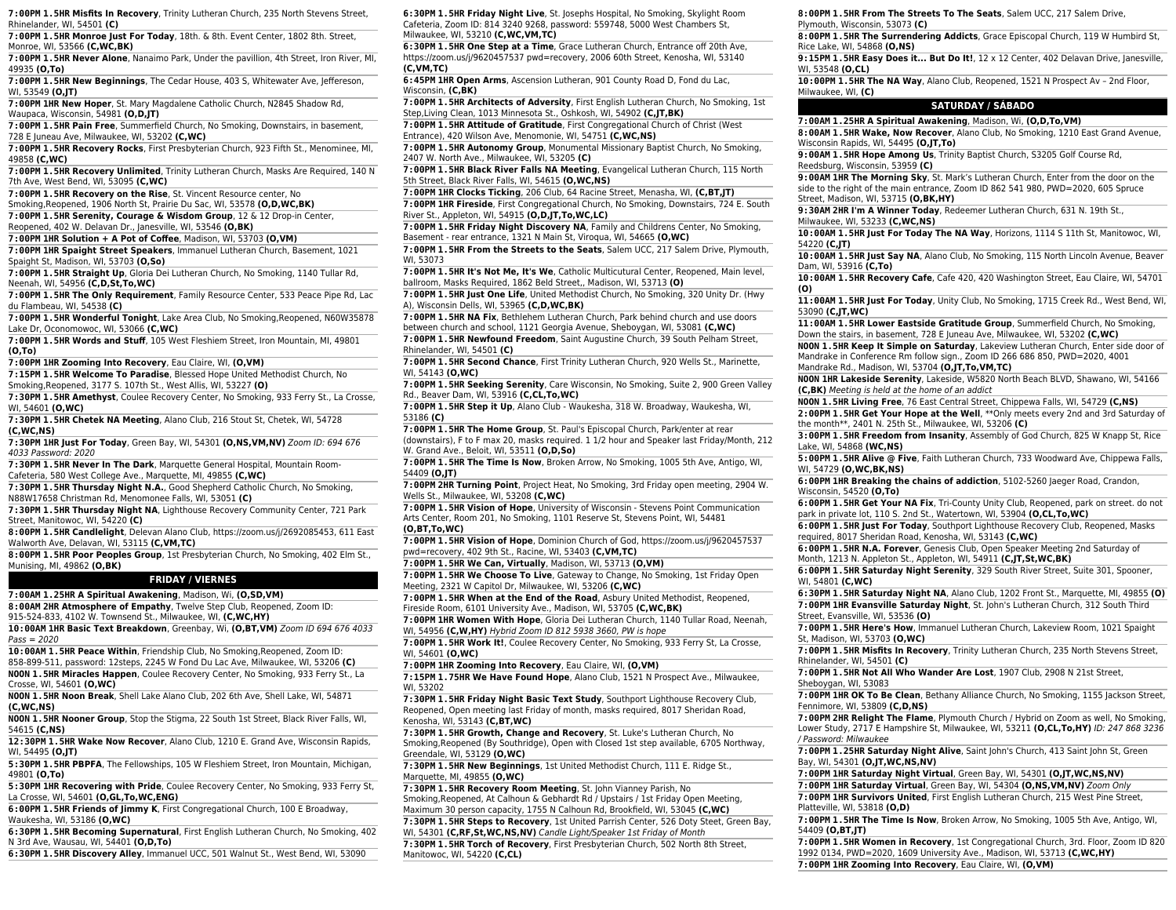**7:00PM 1.5HR Misfits In Recovery**, Trinity Lutheran Church, 235 North Stevens Street, Rhinelander, WI, 54501 **(C)**

**7:00PM 1.5HR Monroe Just For Today**, 18th. & 8th. Event Center, 1802 8th. Street, Monroe, WI, 53566 **(C,WC,BK)**

**7:00PM 1.5HR Never Alone**, Nanaimo Park, Under the pavillion, 4th Street, Iron River, MI, 49935 **(O,To)**

**7:00PM 1.5HR New Beginnings**, The Cedar House, 403 S, Whitewater Ave, Jeffereson, WI, 53549 **(O,JT)**

**7:00PM 1HR New Hoper**, St. Mary Magdalene Catholic Church, N2845 Shadow Rd, Waupaca, Wisconsin, 54981 **(O,D,JT)**

**7:00PM 1.5HR Pain Free**, Summerfield Church, No Smoking, Downstairs, in basement, 728 E Juneau Ave, Milwaukee, WI, 53202 **(C,WC)**

**7:00PM 1.5HR Recovery Rocks**, First Presbyterian Church, 923 Fifth St., Menominee, MI, 49858 **(C,WC)**

**7:00PM 1.5HR Recovery Unlimited**, Trinity Lutheran Church, Masks Are Required, 140 N 7th Ave, West Bend, WI, 53095 **(C,WC)**

**7:00PM 1.5HR Recovery on the Rise**, St. Vincent Resource center, No Smoking,Reopened, 1906 North St, Prairie Du Sac, WI, 53578 **(O,D,WC,BK)**

**7:00PM 1.5HR Serenity, Courage & Wisdom Group**, 12 & 12 Drop-in Center, Reopened, 402 W. Delavan Dr., Janesville, WI, 53546 **(O,BK)**

**7:00PM 1HR Solution + A Pot of Coffee**, Madison, WI, 53703 **(O,VM)**

**7:00PM 1HR Spaight Street Speakers**, Immanuel Lutheran Church, Basement, 1021 Spaight St, Madison, WI, 53703 **(O,So)**

**7:00PM 1.5HR Straight Up**, Gloria Dei Lutheran Church, No Smoking, 1140 Tullar Rd, Neenah, WI, 54956 **(C,D,St,To,WC)**

**7:00PM 1.5HR The Only Requirement**, Family Resource Center, 533 Peace Pipe Rd, Lac du Flambeau, WI, 54538 **(C)**

**7:00PM 1.5HR Wonderful Tonight**, Lake Area Club, No Smoking,Reopened, N60W35878 Lake Dr, Oconomowoc, WI, 53066 **(C,WC)**

**7:00PM 1.5HR Words and Stuff**, 105 West Fleshiem Street, Iron Mountain, MI, 49801 **(O,To)**

**7:00PM 1HR Zooming Into Recovery**, Eau Claire, WI, **(O,VM)**

**7:15PM 1.5HR Welcome To Paradise**, Blessed Hope United Methodist Church, No Smoking,Reopened, 3177 S. 107th St., West Allis, WI, 53227 **(O)**

**7:30PM 1.5HR Amethyst**, Coulee Recovery Center, No Smoking, 933 Ferry St., La Crosse, WI, 54601 **(O,WC)**

**7:30PM 1.5HR Chetek NA Meeting**, Alano Club, 216 Stout St, Chetek, WI, 54728 **(C,WC,NS)**

**7:30PM 1HR Just For Today**, Green Bay, WI, 54301 **(O,NS,VM,NV)** Zoom ID: 694 676 4033 Password: 2020

**7:30PM 1.5HR Never In The Dark**, Marquette General Hospital, Mountain Room-Cafeteria, 580 West College Ave., Marquette, MI, 49855 **(C,WC)**

**7:30PM 1.5HR Thursday Night N.A.**, Good Shepherd Catholic Church, No Smoking, N88W17658 Christman Rd, Menomonee Falls, WI, 53051 **(C)**

**7:30PM 1.5HR Thursday Night NA**, Lighthouse Recovery Community Center, 721 Park Street, Manitowoc, WI, 54220 **(C)**

**8:00PM 1.5HR Candlelight**, Delevan Alano Club, https://zoom.us/j/2692085453, 611 East Walworth Ave, Delavan, WI, 53115 **(C,VM,TC)**

**8:00PM 1.5HR Poor Peoples Group**, 1st Presbyterian Church, No Smoking, 402 Elm St., Munising, MI, 49862 **(O,BK)**

### **FRIDAY / VIERNES**

**7:00AM 1.25HR A Spiritual Awakening**, Madison, Wi, **(O,SD,VM) 8:00AM 2HR Atmosphere of Empathy**, Twelve Step Club, Reopened, Zoom ID:

915-524-833, 4102 W. Townsend St., Milwaukee, WI, **(C,WC,HY)**

**10:00AM 1HR Basic Text Breakdown**, Greenbay, Wi, **(O,BT,VM)** Zoom ID 694 676 4033  $P$ ass = 2020

**10:00AM 1.5HR Peace Within**, Friendship Club, No Smoking,Reopened, Zoom ID: 858-899-511, password: 12steps, 2245 W Fond Du Lac Ave, Milwaukee, WI, 53206 **(C)**

**NOON 1.5HR Miracles Happen**, Coulee Recovery Center, No Smoking, 933 Ferry St., La Crosse, WI, 54601 **(O,WC)**

**NOON 1.5HR Noon Break**, Shell Lake Alano Club, 202 6th Ave, Shell Lake, WI, 54871 **(C,WC,NS)**

**NOON 1.5HR Nooner Group**, Stop the Stigma, 22 South 1st Street, Black River Falls, WI, 54615 **(C,NS)**

**12:30PM 1.5HR Wake Now Recover**, Alano Club, 1210 E. Grand Ave, Wisconsin Rapids, WI, 54495 **(O,JT)**

**5:30PM 1.5HR PBPFA**, The Fellowships, 105 W Fleshiem Street, Iron Mountain, Michigan, 49801 **(O,To)**

**5:30PM 1HR Recovering with Pride**, Coulee Recovery Center, No Smoking, 933 Ferry St, La Crosse, WI, 54601 **(O,GL,To,WC,ENG)**

**6:00PM 1.5HR Friends of Jimmy K**, First Congregational Church, 100 E Broadway, Waukesha, WI, 53186 **(O,WC)**

**6:30PM 1.5HR Becoming Supernatural**, First English Lutheran Church, No Smoking, 402 N 3rd Ave, Wausau, WI, 54401 **(O,D,To)**

**6:30PM 1.5HR Discovery Alley**, Immanuel UCC, 501 Walnut St., West Bend, WI, 53090

**6:30PM 1.5HR Friday Night Live**, St. Josephs Hospital, No Smoking, Skylight Room Cafeteria, Zoom ID: 814 3240 9268, password: 559748, 5000 West Chambers St, Milwaukee, WI, 53210 **(C,WC,VM,TC)**

**6:30PM 1.5HR One Step at a Time**, Grace Lutheran Church, Entrance off 20th Ave, https://zoom.us/j/9620457537 pwd=recovery, 2006 60th Street, Kenosha, WI, 53140 **(C,VM,TC)**

**6:45PM 1HR Open Arms**, Ascension Lutheran, 901 County Road D, Fond du Lac, Wisconsin, **(C,BK)**

**7:00PM 1.5HR Architects of Adversity**, First English Lutheran Church, No Smoking, 1st Step,Living Clean, 1013 Minnesota St., Oshkosh, WI, 54902 **(C,JT,BK)**

**7:00PM 1.5HR Attitude of Gratitude**, First Congregational Church of Christ (West Entrance), 420 Wilson Ave, Menomonie, WI, 54751 **(C,WC,NS)**

**7:00PM 1.5HR Autonomy Group**, Monumental Missionary Baptist Church, No Smoking, 2407 W. North Ave., Milwaukee, WI, 53205 **(C)**

**7:00PM 1.5HR Black River Falls NA Meeting**, Evangelical Lutheran Church, 115 North 5th Street, Black River Falls, WI, 54615 **(O,WC,NS)**

**7:00PM 1HR Clocks Ticking**, 206 Club, 64 Racine Street, Menasha, WI, **(C,BT,JT) 7:00PM 1HR Fireside**, First Congregational Church, No Smoking, Downstairs, 724 E. South River St., Appleton, WI, 54915 **(O,D,JT,To,WC,LC)**

**7:00PM 1.5HR Friday Night Discovery NA**, Family and Childrens Center, No Smoking, Basement - rear entrance, 1321 N Main St, Viroqua, WI, 54665 **(O,WC)**

**7:00PM 1.5HR From the Streets to the Seats**, Salem UCC, 217 Salem Drive, Plymouth, WI, 53073

**7:00PM 1.5HR It's Not Me, It's We**, Catholic Multicutural Center, Reopened, Main level, ballroom, Masks Required, 1862 Beld Street,, Madison, WI, 53713 **(O)**

**7:00PM 1.5HR Just One Life**, United Methodist Church, No Smoking, 320 Unity Dr. (Hwy A), Wisconsin Dells, WI, 53965 **(C,D,WC,BK)**

**7:00PM 1.5HR NA Fix**, Bethlehem Lutheran Church, Park behind church and use doors between church and school, 1121 Georgia Avenue, Sheboygan, WI, 53081 **(C,WC)**

**7:00PM 1.5HR Newfound Freedom**, Saint Augustine Church, 39 South Pelham Street, Rhinelander, WI, 54501 **(C)**

**7:00PM 1.5HR Second Chance**, First Trinity Lutheran Church, 920 Wells St., Marinette, WI, 54143 **(O,WC)**

**7:00PM 1.5HR Seeking Serenity**, Care Wisconsin, No Smoking, Suite 2, 900 Green Valley Rd., Beaver Dam, WI, 53916 **(C,CL,To,WC)**

**7:00PM 1.5HR Step it Up**, Alano Club - Waukesha, 318 W. Broadway, Waukesha, WI, 53186 **(C)**

**7:00PM 1.5HR The Home Group**, St. Paul's Episcopal Church, Park/enter at rear

(downstairs), F to F max 20, masks required. 1 1/2 hour and Speaker last Friday/Month, 212 W. Grand Ave., Beloit, WI, 53511 **(O,D,So)**

**7:00PM 1.5HR The Time Is Now**, Broken Arrow, No Smoking, 1005 5th Ave, Antigo, WI, 54409 **(O,JT)**

**7:00PM 2HR Turning Point**, Project Heat, No Smoking, 3rd Friday open meeting, 2904 W. Wells St., Milwaukee, WI, 53208 **(C,WC)**

**7:00PM 1.5HR Vision of Hope**, University of Wisconsin - Stevens Point Communication Arts Center, Room 201, No Smoking, 1101 Reserve St, Stevens Point, WI, 54481 **(O,BT,To,WC)**

**7:00PM 1.5HR Vision of Hope**, Dominion Church of God, https://zoom.us/j/9620457537 pwd=recovery, 402 9th St., Racine, WI, 53403 **(C,VM,TC)**

**7:00PM 1.5HR We Can, Virtually**, Madison, WI, 53713 **(O,VM)**

**7:00PM 1.5HR We Choose To Live**, Gateway to Change, No Smoking, 1st Friday Open Meeting, 2321 W Capitol Dr, Milwaukee, WI, 53206 **(C,WC)**

**7:00PM 1.5HR When at the End of the Road**, Asbury United Methodist, Reopened, Fireside Room, 6101 University Ave., Madison, WI, 53705 **(C,WC,BK)**

**7:00PM 1HR Women With Hope**, Gloria Dei Lutheran Church, 1140 Tullar Road, Neenah, WI, 54956 **(C,W,HY)** Hybrid Zoom ID 812 5938 3660, PW is hope

**7:00PM 1.5HR Work It!**, Coulee Recovery Center, No Smoking, 933 Ferry St, La Crosse,

WI, 54601 **(O,WC)**

**7:00PM 1HR Zooming Into Recovery**, Eau Claire, WI, **(O,VM)**

**7:15PM 1.75HR We Have Found Hope**, Alano Club, 1521 N Prospect Ave., Milwaukee, WI, 53202

**7:30PM 1.5HR Friday Night Basic Text Study**, Southport Lighthouse Recovery Club, Reopened, Open meeting last Friday of month, masks required, 8017 Sheridan Road, Kenosha, WI, 53143 **(C,BT,WC)**

**7:30PM 1.5HR Growth, Change and Recovery**, St. Luke's Lutheran Church, No Smoking,Reopened (By Southridge), Open with Closed 1st step available, 6705 Northway, Greendale, WI, 53129 **(O,WC)**

**7:30PM 1.5HR New Beginnings**, 1st United Methodist Church, 111 E. Ridge St., Marquette, MI, 49855 **(O,WC)**

**7:30PM 1.5HR Recovery Room Meeting**, St. John Vianney Parish, No Smoking,Reopened, At Calhoun & Gebhardt Rd / Upstairs / 1st Friday Open Meeting, Maximum 30 person capacity, 1755 N Calhoun Rd, Brookfield, WI, 53045 **(C,WC)**

**7:30PM 1.5HR Steps to Recovery**, 1st United Parrish Center, 526 Doty Steet, Green Bay, WI, 54301 **(C,RF,St,WC,NS,NV)** Candle Light/Speaker 1st Friday of Month

**7:30PM 1.5HR Torch of Recovery**, First Presbyterian Church, 502 North 8th Street, Manitowoc, WI, 54220 **(C,CL)**

**8:00PM 1.5HR From The Streets To The Seats**, Salem UCC, 217 Salem Drive,

Plymouth, Wisconsin, 53073 **(C)**

**8:00PM 1.5HR The Surrendering Addicts**, Grace Episcopal Church, 119 W Humbird St, Rice Lake, WI, 54868 **(O,NS)**

**9:15PM 1.5HR Easy Does it... But Do It!**, 12 x 12 Center, 402 Delavan Drive, Janesville, WI, 53548 **(O,CL)**

**10:00PM 1.5HR The NA Way**, Alano Club, Reopened, 1521 N Prospect Av – 2nd Floor, Milwaukee, WI, **(C)**

#### **SATURDAY / SÁBADO**

**7:00AM 1.25HR A Spiritual Awakening**, Madison, Wi, **(O,D,To,VM)**

**8:00AM 1.5HR Wake, Now Recover**, Alano Club, No Smoking, 1210 East Grand Avenue, Wisconsin Rapids, WI, 54495 **(O,JT,To)**

**9:00AM 1.5HR Hope Among Us**, Trinity Baptist Church, S3205 Golf Course Rd, Reedsburg, Wisconsin, 53959 **(C)**

**9:00AM 1HR The Morning Sky**, St. Mark's Lutheran Church, Enter from the door on the side to the right of the main entrance, Zoom ID 862 541 980, PWD=2020, 605 Spruce Street, Madison, WI, 53715 **(O,BK,HY)**

**9:30AM 2HR I'm A Winner Today**, Redeemer Lutheran Church, 631 N. 19th St., Milwaukee, WI, 53233 **(C,WC,NS)**

**10:00AM 1.5HR Just For Today The NA Way**, Horizons, 1114 S 11th St, Manitowoc, WI, 54220 **(C,JT)**

**10:00AM 1.5HR Just Say NA**, Alano Club, No Smoking, 115 North Lincoln Avenue, Beaver Dam, WI, 53916 **(C,To)**

**10:00AM 1.5HR Recovery Cafe**, Cafe 420, 420 Washington Street, Eau Claire, WI, 54701 **(O)**

**11:00AM 1.5HR Just For Today**, Unity Club, No Smoking, 1715 Creek Rd., West Bend, WI, 53090 **(C,JT,WC)**

**11:00AM 1.5HR Lower Eastside Gratitude Group**, Summerfield Church, No Smoking, Down the stairs, in basement, 728 E Juneau Ave, Milwaukee, WI, 53202 **(C,WC)**

**NOON 1.5HR Keep It Simple on Saturday**, Lakeview Lutheran Church, Enter side door of Mandrake in Conference Rm follow sign., Zoom ID 266 686 850, PWD=2020, 4001 Mandrake Rd., Madison, WI, 53704 **(O,JT,To,VM,TC)**

**NOON 1HR Lakeside Serenity**, Lakeside, W5820 North Beach BLVD, Shawano, WI, 54166 **(C,BK)** Meeting is held at the home of an addict

**NOON 1.5HR Living Free**, 76 East Central Street, Chippewa Falls, WI, 54729 **(C,NS) 2:00PM 1.5HR Get Your Hope at the Well**, \*\*Only meets every 2nd and 3rd Saturday of

the month\*\*, 2401 N. 25th St., Milwaukee, WI, 53206 **(C)**

**3:00PM 1.5HR Freedom from Insanity**, Assembly of God Church, 825 W Knapp St, Rice Lake, WI, 54868 **(WC,NS)**

**5:00PM 1.5HR Alive @ Five**, Faith Lutheran Church, 733 Woodward Ave, Chippewa Falls, WI, 54729 **(O,WC,BK,NS)**

**6:00PM 1.5HR Get Your NA Fix**, Tri-County Unity Club, Reopened, park on street. do not

**6:00PM 1.5HR Just For Today**, Southport Lighthouse Recovery Club, Reopened, Masks

**6:00PM 1.5HR N.A. Forever**, Genesis Club, Open Speaker Meeting 2nd Saturday of

**6:00PM 1.5HR Saturday Night Serenity**, 329 South River Street, Suite 301, Spooner,

**6:30PM 1.5HR Saturday Night NA**, Alano Club, 1202 Front St., Marquette, MI, 49855 **(O) 7:00PM 1HR Evansville Saturday Night**, St. John's Lutheran Church, 312 South Third

**7:00PM 1.5HR Here's How**, Immanuel Lutheran Church, Lakeview Room, 1021 Spaight

**7:00PM 1.5HR Misfits In Recovery**, Trinity Lutheran Church, 235 North Stevens Street,

**7:00PM 1HR OK To Be Clean**, Bethany Alliance Church, No Smoking, 1155 Jackson Street,

**7:00PM 2HR Relight The Flame**, Plymouth Church / Hybrid on Zoom as well, No Smoking, Lower Study, 2717 E Hampshire St, Milwaukee, WI, 53211 **(O,CL,To,HY)** ID: 247 868 3236

**7:00PM 1.25HR Saturday Night Alive**, Saint John's Church, 413 Saint John St, Green

**7:00PM 1.5HR The Time Is Now**, Broken Arrow, No Smoking, 1005 5th Ave, Antigo, WI,

**7:00PM 1.5HR Women in Recovery**, 1st Congregational Church, 3rd. Floor, Zoom ID 820 1992 0134, PWD=2020, 1609 University Ave., Madison, WI, 53713 **(C,WC,HY)**

**7:00PM 1HR Saturday Night Virtual**, Green Bay, WI, 54301 **(O,JT,WC,NS,NV) 7:00PM 1HR Saturday Virtual**, Green Bay, WI, 54304 **(O,NS,VM,NV)** Zoom Only **7:00PM 1HR Survivors United**, First English Lutheran Church, 215 West Pine Street,

**7:00PM 1HR Zooming Into Recovery**, Eau Claire, WI, **(O,VM)**

**7:00PM 1.5HR Not All Who Wander Are Lost**, 1907 Club, 2908 N 21st Street,

**6:00PM 1HR Breaking the chains of addiction**, 5102-5260 Jaeger Road, Crandon, Wisconsin, 54520 **(O,To)**

park in private lot, 110 S. 2nd St., Watertown, WI, 53904 **(O,CL,To,WC)**

Month, 1213 N. Appleton St., Appleton, WI, 54911 **(C,JT,St,WC,BK)**

required, 8017 Sheridan Road, Kenosha, WI, 53143 **(C,WC)**

WI, 54801 **(C,WC)**

Street, Evansville, WI, 53536 **(O)**

St, Madison, WI, 53703 **(O,WC)**

Fennimore, WI, 53809 **(C,D,NS)**

Bay, WI, 54301 **(O,JT,WC,NS,NV)**

Platteville, WI, 53818 **(O,D)**

54409 **(O,BT,JT)**

Rhinelander, WI, 54501 **(C)**

Sheboygan, WI, 53083

/ Password: Milwaukee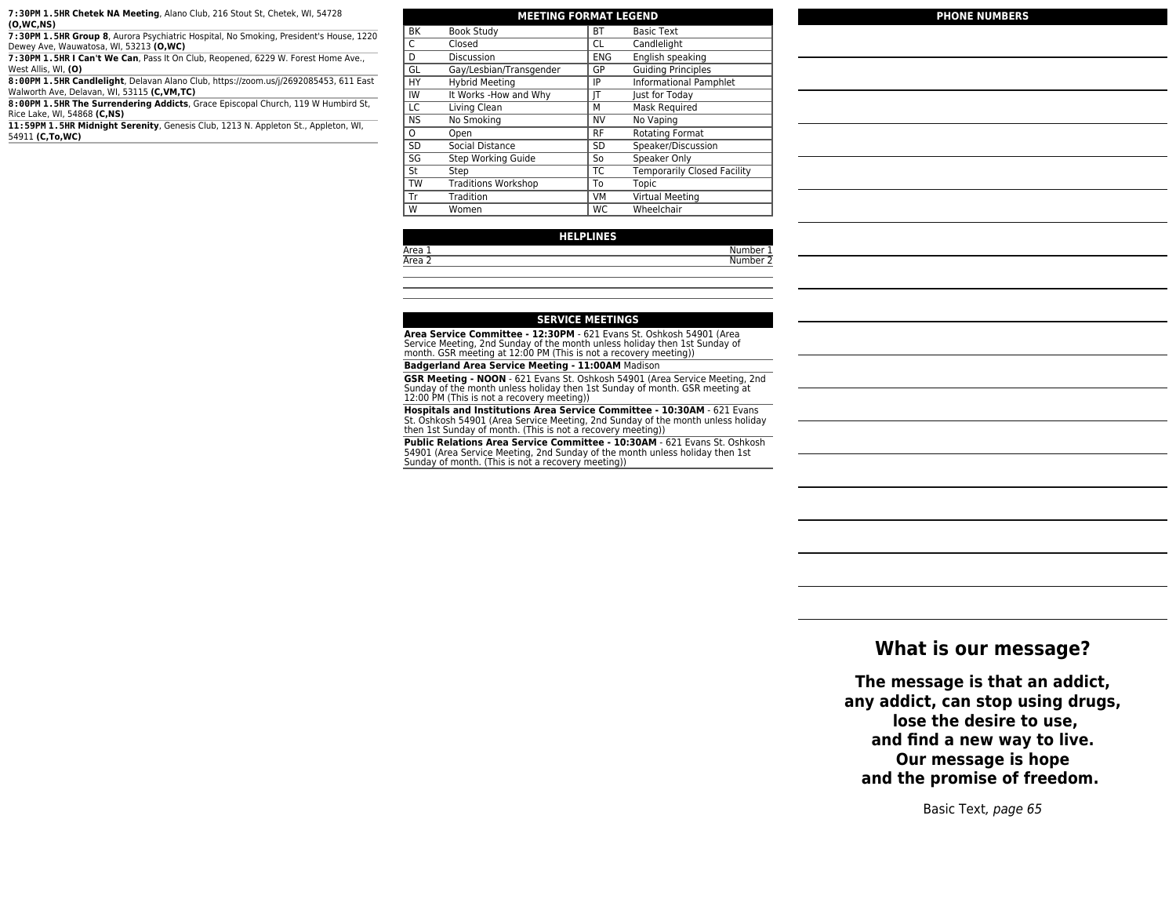**7:30PM 1.5HR Chetek NA Meeting**, Alano Club, 216 Stout St, Chetek, WI, 54728 **(O,WC,NS)**

**7:30PM 1.5HR Group 8**, Aurora Psychiatric Hospital, No Smoking, President's House, 1220 Dewey Ave, Wauwatosa, WI, 53213 **(O,WC)**

**7:30PM 1.5HR I Can't We Can**, Pass It On Club, Reopened, 6229 W. Forest Home Ave., West Allis, WI, **(O)**

**8:00PM 1.5HR Candlelight**, Delavan Alano Club, https://zoom.us/j/2692085453, 611 East Walworth Ave, Delavan, WI, 53115 **(C,VM,TC)**

**8:00PM 1.5HR The Surrendering Addicts**, Grace Episcopal Church, 119 W Humbird St, Rice Lake, WI, 54868 **(C,NS)**

**11:59PM 1.5HR Midnight Serenity**, Genesis Club, 1213 N. Appleton St., Appleton, WI, 54911 **(C,To,WC)**

| <b>MEETING FORMAT LEGEND</b> |                            |            |                                    |
|------------------------------|----------------------------|------------|------------------------------------|
| <b>BK</b>                    | <b>Book Study</b>          | <b>BT</b>  | <b>Basic Text</b>                  |
| C                            | Closed                     | CL         | Candlelight                        |
| D                            | Discussion                 | <b>ENG</b> | English speaking                   |
| GL                           | Gay/Lesbian/Transgender    | GP         | <b>Guiding Principles</b>          |
| HY                           | <b>Hybrid Meeting</b>      | IP         | <b>Informational Pamphlet</b>      |
| IW                           | It Works -How and Why      | IT         | Just for Today                     |
| LC                           | Living Clean               | М          | Mask Required                      |
| <b>NS</b>                    | No Smoking                 | <b>NV</b>  | No Vaping                          |
| $\Omega$                     | Open                       | <b>RF</b>  | Rotating Format                    |
| <b>SD</b>                    | Social Distance            | <b>SD</b>  | Speaker/Discussion                 |
| SG                           | Step Working Guide         | So         | Speaker Only                       |
| St                           | Step                       | <b>TC</b>  | <b>Temporarily Closed Facility</b> |
| <b>TW</b>                    | <b>Traditions Workshop</b> | To         | Topic                              |
| Tr                           | Tradition                  | VM         | Virtual Meeting                    |
| W                            | Women                      | WC         | Wheelchair                         |

### **HELPLINES**

# Area 1 Number 1

### **PHONE NUMBERS**

**Number 2** 

### **SERVICE MEETINGS**

**Area Service Committee - 12:30PM** - 621 Evans St. Oshkosh 54901 (Area<br>Service Meeting, 2nd Sunday of the month unless holiday then 1st Sunday of<br>month. GSR meeting at 12:00 PM (This is not a recovery meeting))

**Badgerland Area Service Meeting - 11:00AM** Madison

**GSR Meeting - NOON** - 621 Evans St. Oshkosh 54901 (Area Service Meeting, 2nd Sunday of the month unless holiday then 1st Sunday of month. GSR meeting at 12:00 PM (This is not a recovery meeting))

**Hospitals and Institutions Area Service Committee - 10:30AM** - 621 Evans St. Oshkosh 54901 (Area Service Meeting, 2nd Sunday of the month unless holiday then 1st Sunday of month. (This is not a recovery meeting))

**Public Relations Area Service Committee - 10:30AM** - 621 Evans St. Oshkosh 54901 (Area Service Meeting, 2nd Sunday of the month unless holiday then 1st Sunday of month. (This is not a recovery meeting))

### **What is our message?**

**The message is that an addict, any addict, can stop using drugs, lose the desire to use, and find a new way to live. Our message is hope and the promise of freedom.** 

Basic Text, page 65